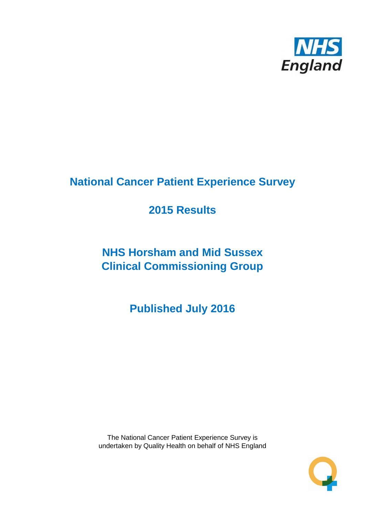

# **National Cancer Patient Experience Survey**

# **2015 Results**

# **NHS Horsham and Mid Sussex Clinical Commissioning Group**

**Published July 2016**

The National Cancer Patient Experience Survey is undertaken by Quality Health on behalf of NHS England

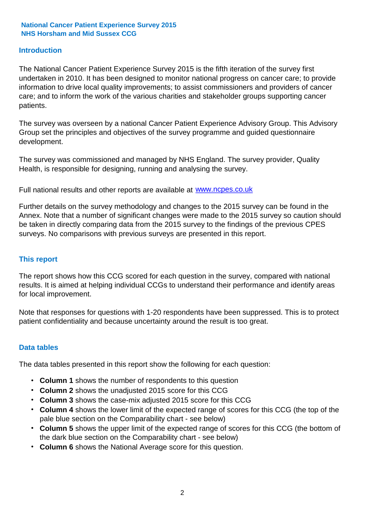### **Introduction**

The National Cancer Patient Experience Survey 2015 is the fifth iteration of the survey first undertaken in 2010. It has been designed to monitor national progress on cancer care; to provide information to drive local quality improvements; to assist commissioners and providers of cancer care; and to inform the work of the various charities and stakeholder groups supporting cancer patients.

The survey was overseen by a national Cancer Patient Experience Advisory Group. This Advisory Group set the principles and objectives of the survey programme and guided questionnaire development.

The survey was commissioned and managed by NHS England. The survey provider, Quality Health, is responsible for designing, running and analysing the survey.

Full national results and other reports are available at www.ncpes.co.uk

Further details on the survey methodology and changes to the 2015 survey can be found in the Annex. Note that a number of significant changes were made to the 2015 survey so caution should be taken in directly comparing data from the 2015 survey to the findings of the previous CPES surveys. No comparisons with previous surveys are presented in this report.

#### **This report**

The report shows how this CCG scored for each question in the survey, compared with national results. It is aimed at helping individual CCGs to understand their performance and identify areas for local improvement.

Note that responses for questions with 1-20 respondents have been suppressed. This is to protect patient confidentiality and because uncertainty around the result is too great.

#### **Data tables**

The data tables presented in this report show the following for each question:

- **Column 1** shows the number of respondents to this question
- **Column 2** shows the unadjusted 2015 score for this CCG
- **Column 3** shows the case-mix adjusted 2015 score for this CCG
- **Column 4** shows the lower limit of the expected range of scores for this CCG (the top of the pale blue section on the Comparability chart - see below)
- **Column 5** shows the upper limit of the expected range of scores for this CCG (the bottom of the dark blue section on the Comparability chart - see below)
- **Column 6** shows the National Average score for this question.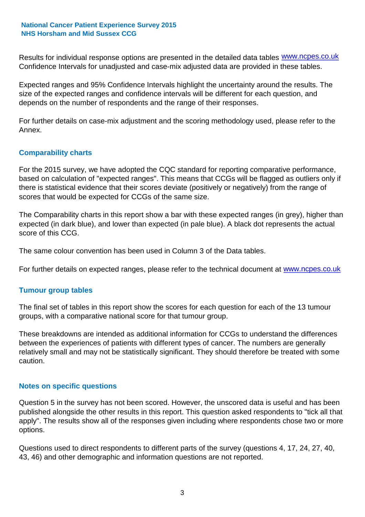Results for individual response options are presented in the detailed data tables **WWW.ncpes.co.uk** Confidence Intervals for unadjusted and case-mix adjusted data are provided in these tables.

Expected ranges and 95% Confidence Intervals highlight the uncertainty around the results. The size of the expected ranges and confidence intervals will be different for each question, and depends on the number of respondents and the range of their responses.

For further details on case-mix adjustment and the scoring methodology used, please refer to the Annex.

### **Comparability charts**

For the 2015 survey, we have adopted the CQC standard for reporting comparative performance, based on calculation of "expected ranges". This means that CCGs will be flagged as outliers only if there is statistical evidence that their scores deviate (positively or negatively) from the range of scores that would be expected for CCGs of the same size.

The Comparability charts in this report show a bar with these expected ranges (in grey), higher than expected (in dark blue), and lower than expected (in pale blue). A black dot represents the actual score of this CCG.

The same colour convention has been used in Column 3 of the Data tables.

For further details on expected ranges, please refer to the technical document at **www.ncpes.co.uk** 

#### **Tumour group tables**

The final set of tables in this report show the scores for each question for each of the 13 tumour groups, with a comparative national score for that tumour group.

These breakdowns are intended as additional information for CCGs to understand the differences between the experiences of patients with different types of cancer. The numbers are generally relatively small and may not be statistically significant. They should therefore be treated with some caution.

#### **Notes on specific questions**

Question 5 in the survey has not been scored. However, the unscored data is useful and has been published alongside the other results in this report. This question asked respondents to "tick all that apply". The results show all of the responses given including where respondents chose two or more options.

Questions used to direct respondents to different parts of the survey (questions 4, 17, 24, 27, 40, 43, 46) and other demographic and information questions are not reported.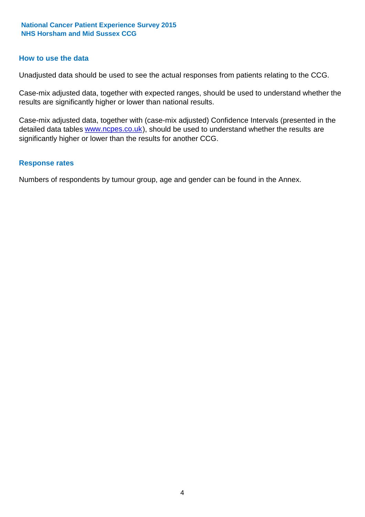#### **How to use the data**

Unadjusted data should be used to see the actual responses from patients relating to the CCG.

Case-mix adjusted data, together with expected ranges, should be used to understand whether the results are significantly higher or lower than national results.

Case-mix adjusted data, together with (case-mix adjusted) Confidence Intervals (presented in the detailed data tables **www.ncpes.co.uk**), should be used to understand whether the results are significantly higher or lower than the results for another CCG.

#### **Response rates**

Numbers of respondents by tumour group, age and gender can be found in the Annex.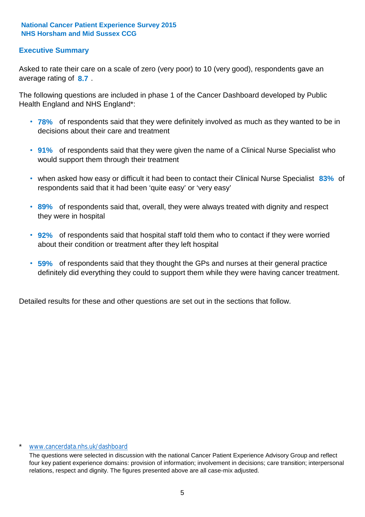### **Executive Summary**

average rating of 8.7. Asked to rate their care on a scale of zero (very poor) to 10 (very good), respondents gave an

The following questions are included in phase 1 of the Cancer Dashboard developed by Public Health England and NHS England\*:

- **78%** of respondents said that they were definitely involved as much as they wanted to be in decisions about their care and treatment
- **91%** of respondents said that they were given the name of a Clinical Nurse Specialist who would support them through their treatment
- when asked how easy or difficult it had been to contact their Clinical Nurse Specialist 83% of respondents said that it had been 'quite easy' or 'very easy'
- **89%** of respondents said that, overall, they were always treated with dignity and respect they were in hospital
- **92%** of respondents said that hospital staff told them who to contact if they were worried about their condition or treatment after they left hospital
- **59%** of respondents said that they thought the GPs and nurses at their general practice definitely did everything they could to support them while they were having cancer treatment.

Detailed results for these and other questions are set out in the sections that follow.

#### \* www.cancerdata.nhs.uk/dashboard

The questions were selected in discussion with the national Cancer Patient Experience Advisory Group and reflect four key patient experience domains: provision of information; involvement in decisions; care transition; interpersonal relations, respect and dignity. The figures presented above are all case-mix adjusted.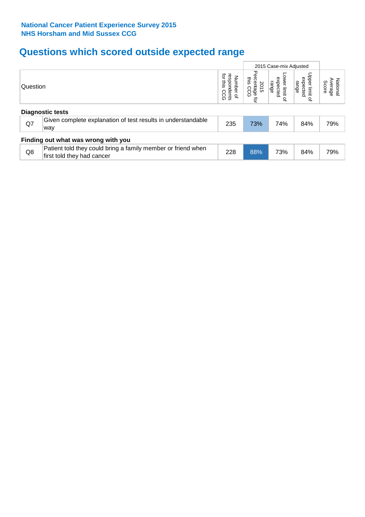# **Questions which scored outside expected range**

|          |                                                                                            |                                                    | 2015 Case-mix Adjusted                              |                                       |                                       |                              |  |  |  |
|----------|--------------------------------------------------------------------------------------------|----------------------------------------------------|-----------------------------------------------------|---------------------------------------|---------------------------------------|------------------------------|--|--|--|
| Question |                                                                                            | శె<br>ਕ੍ਰੋ<br>Number of<br>sins<br>pondents<br>SCG | Perc<br>this<br>entage<br>is CCG<br>2015<br>۵<br>ţa | Lower limit<br>expected<br>range<br>₽ | Upper limit<br>expected<br>range<br>₽ | National<br>Average<br>Score |  |  |  |
|          | <b>Diagnostic tests</b>                                                                    |                                                    |                                                     |                                       |                                       |                              |  |  |  |
| Q7       | Given complete explanation of test results in understandable<br>way                        | 235                                                | 73%                                                 | 74%                                   | 84%                                   | 79%                          |  |  |  |
|          | Finding out what was wrong with you                                                        |                                                    |                                                     |                                       |                                       |                              |  |  |  |
| Q8       | Patient told they could bring a family member or friend when<br>first told they had cancer | 228                                                | 88%                                                 | 73%                                   | 84%                                   | 79%                          |  |  |  |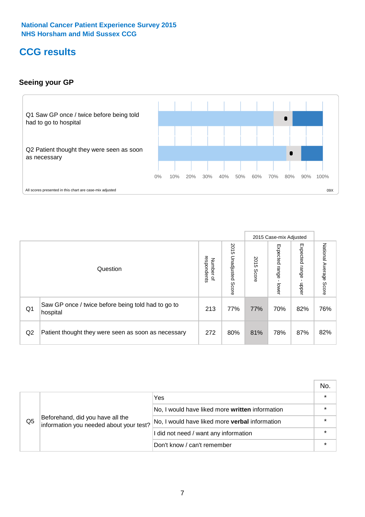# **CCG results**

### **Seeing your GP**



|    |                                                                |                                         |                             |               | 2015 Case-mix Adjusted     |                            |                           |
|----|----------------------------------------------------------------|-----------------------------------------|-----------------------------|---------------|----------------------------|----------------------------|---------------------------|
|    | Question                                                       | respondents<br>Number<br>$\overline{a}$ | 2015<br>Unadjusted<br>Score | 2015<br>Score | Expected<br>range<br>lower | Expected<br>range<br>dpper | National Average<br>Score |
| Q1 | Saw GP once / twice before being told had to go to<br>hospital | 213                                     | 77%                         | 77%           | 70%                        | 82%                        | 76%                       |
| Q2 | Patient thought they were seen as soon as necessary            | 272                                     | 80%                         | 81%           | 78%                        | 87%                        | 82%                       |

|    |                                                                             |                                                 | No. |
|----|-----------------------------------------------------------------------------|-------------------------------------------------|-----|
|    |                                                                             | Yes                                             |     |
| Q5 | Beforehand, did you have all the<br>information you needed about your test? | No, I would have liked more written information |     |
|    |                                                                             | No, I would have liked more verbal information  |     |
|    |                                                                             | I did not need / want any information           |     |
|    |                                                                             | Don't know / can't remember                     |     |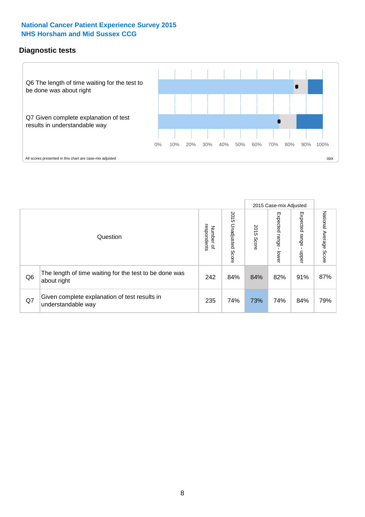### **Diagnostic tests**



|                |                                                                       |                                       |                             |               | 2015 Case-mix Adjusted  |                         |                           |
|----------------|-----------------------------------------------------------------------|---------------------------------------|-----------------------------|---------------|-------------------------|-------------------------|---------------------------|
|                | Question                                                              | respondents<br>Number<br>$\mathbf{Q}$ | 2015<br>Unadjusted<br>Score | 2015<br>Score | Expected range<br>lower | Expected range<br>nbber | National Average<br>Score |
| Q <sub>6</sub> | The length of time waiting for the test to be done was<br>about right | 242                                   | 84%                         | 84%           | 82%                     | 91%                     | 87%                       |
| Q7             | Given complete explanation of test results in<br>understandable way   | 235                                   | 74%                         | 73%           | 74%                     | 84%                     | 79%                       |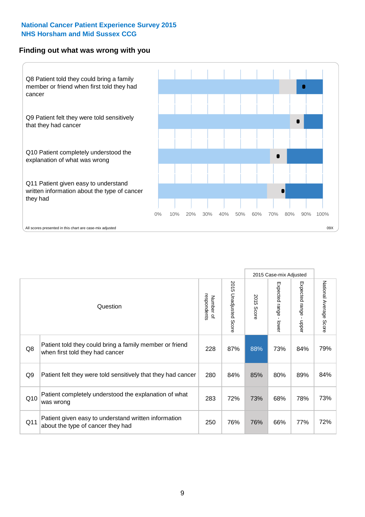#### **Finding out what was wrong with you**



|     |                                                                                            |                          |                       |            | 2015 Case-mix Adjusted |                                           |                        |
|-----|--------------------------------------------------------------------------------------------|--------------------------|-----------------------|------------|------------------------|-------------------------------------------|------------------------|
|     | Question                                                                                   | respondents<br>Number of | 2015 Unadjusted Score | 2015 Score | Expected range - lower | Expected range<br>$\blacksquare$<br>nbber | National Average Score |
| Q8  | Patient told they could bring a family member or friend<br>when first told they had cancer | 228                      | 87%                   | 88%        | 73%                    | 84%                                       | 79%                    |
| Q9  | Patient felt they were told sensitively that they had cancer                               | 280                      | 84%                   | 85%        | 80%                    | 89%                                       | 84%                    |
| Q10 | Patient completely understood the explanation of what<br>was wrong                         | 283                      | 72%                   | 73%        | 68%                    | 78%                                       | 73%                    |
| Q11 | Patient given easy to understand written information<br>about the type of cancer they had  | 250                      | 76%                   | 76%        | 66%                    | 77%                                       | 72%                    |
|     |                                                                                            |                          |                       |            |                        |                                           |                        |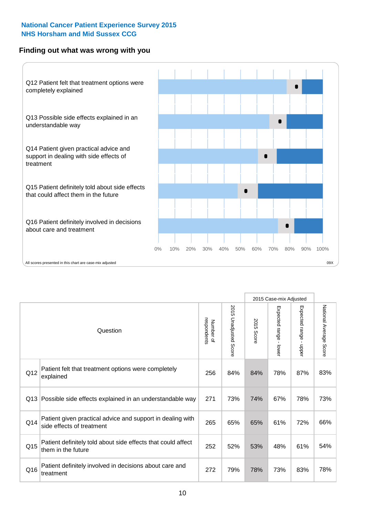### **Finding out what was wrong with you**



|                 |                                                                                         |                          |                                 |               | 2015 Case-mix Adjusted                    |                        |                        |  |
|-----------------|-----------------------------------------------------------------------------------------|--------------------------|---------------------------------|---------------|-------------------------------------------|------------------------|------------------------|--|
| Question        |                                                                                         | Number of<br>respondents | 2015<br><b>Unadjusted Score</b> | 2015<br>Score | Expected range<br>$\blacksquare$<br>lower | Expected range - upper | National Average Score |  |
| Q12             | Patient felt that treatment options were completely<br>explained                        | 256                      | 84%                             | 84%           | 78%                                       | 87%                    | 83%                    |  |
| Q13             | Possible side effects explained in an understandable way                                | 271                      | 73%                             | 74%           | 67%                                       | 78%                    | 73%                    |  |
| Q14             | Patient given practical advice and support in dealing with<br>side effects of treatment | 265                      | 65%                             | 65%           | 61%                                       | 72%                    | 66%                    |  |
| Q <sub>15</sub> | Patient definitely told about side effects that could affect<br>them in the future      | 252                      | 52%                             | 53%           | 48%                                       | 61%                    | 54%                    |  |
| Q16             | Patient definitely involved in decisions about care and<br>treatment                    | 272                      | 79%                             | 78%           | 73%                                       | 83%                    | 78%                    |  |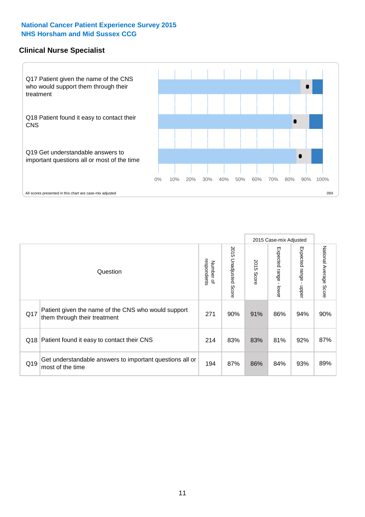#### **Clinical Nurse Specialist**



|     |                                                                                     |                          |                       |               | 2015 Case-mix Adjusted  |                         |                        |
|-----|-------------------------------------------------------------------------------------|--------------------------|-----------------------|---------------|-------------------------|-------------------------|------------------------|
|     | Question                                                                            | respondents<br>Number of | 2015 Unadjusted Score | 2015<br>Score | Expected range<br>lower | Expected range<br>nbber | National Average Score |
| Q17 | Patient given the name of the CNS who would support<br>them through their treatment | 271                      | 90%                   | 91%           | 86%                     | 94%                     | 90%                    |
|     | Q18 Patient found it easy to contact their CNS                                      | 214                      | 83%                   | 83%           | 81%                     | 92%                     | 87%                    |
| Q19 | Get understandable answers to important questions all or<br>most of the time        | 194                      | 87%                   | 86%           | 84%                     | 93%                     | 89%                    |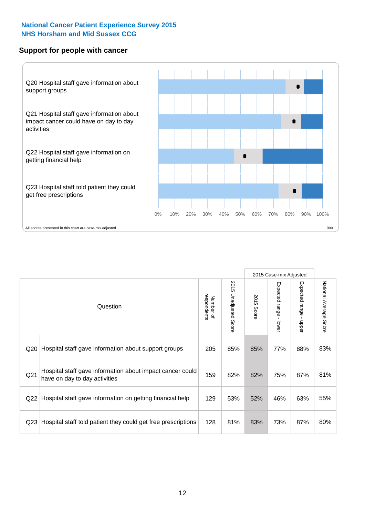#### **Support for people with cancer**



|                 |                                                                                            |                          |                                 |               | 2015 Case-mix Adjusted  |                                           |                        |
|-----------------|--------------------------------------------------------------------------------------------|--------------------------|---------------------------------|---------------|-------------------------|-------------------------------------------|------------------------|
|                 | Question                                                                                   | respondents<br>Number of | 2015<br><b>Unadjusted Score</b> | 2015<br>Score | Expected range<br>lower | Expected range<br>$\blacksquare$<br>nbber | National Average Score |
| Q <sub>20</sub> | Hospital staff gave information about support groups                                       | 205                      | 85%                             | 85%           | 77%                     | 88%                                       | 83%                    |
| Q <sub>21</sub> | Hospital staff gave information about impact cancer could<br>have on day to day activities | 159                      | 82%                             | 82%           | 75%                     | 87%                                       | 81%                    |
| Q <sub>22</sub> | Hospital staff gave information on getting financial help                                  | 129                      | 53%                             | 52%           | 46%                     | 63%                                       | 55%                    |
| Q <sub>23</sub> | Hospital staff told patient they could get free prescriptions                              | 128                      | 81%                             | 83%           | 73%                     | 87%                                       | 80%                    |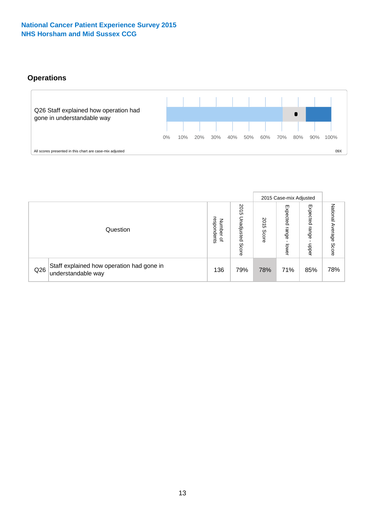### **Operations**



|     |                                                                 |                                              |                             |                   | 2015 Case-mix Adjusted     |                            |                              |
|-----|-----------------------------------------------------------------|----------------------------------------------|-----------------------------|-------------------|----------------------------|----------------------------|------------------------------|
|     | Question                                                        | respondents<br>Number<br>$\overline{\sigma}$ | 2015<br>Unadjusted<br>Score | 201<br>c<br>Score | Expected<br>range<br>lower | Expected<br>range<br>doper | National<br>Average<br>Score |
| Q26 | Staff explained how operation had gone in<br>understandable way | 136                                          | 79%                         | 78%               | 71%                        | 85%                        | 78%                          |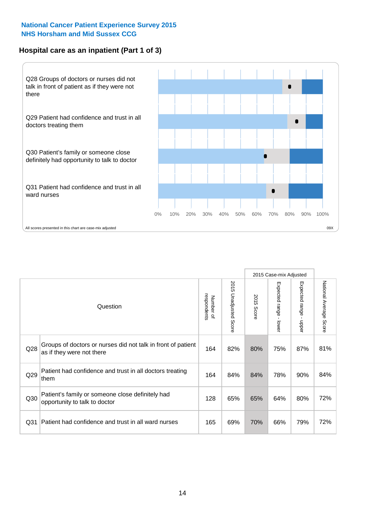### **Hospital care as an inpatient (Part 1 of 3)**



All scores presented in this chart are case-mix adjusted (99X) and the extent of the state of the state of the state of the state of the state of the state of the state of the state of the state and the state of the state

|                 |                                                                                           |                          |                       |               | 2015 Case-mix Adjusted                    |                           |                        |
|-----------------|-------------------------------------------------------------------------------------------|--------------------------|-----------------------|---------------|-------------------------------------------|---------------------------|------------------------|
|                 | Question                                                                                  | respondents<br>Number of | 2015 Unadjusted Score | 2015<br>Score | Expected range<br>$\blacksquare$<br>lower | Expected range<br>- nbbeu | National Average Score |
| Q28             | Groups of doctors or nurses did not talk in front of patient<br>as if they were not there | 164                      | 82%                   | 80%           | 75%                                       | 87%                       | 81%                    |
| Q29             | Patient had confidence and trust in all doctors treating<br>them                          | 164                      | 84%                   | 84%           | 78%                                       | 90%                       | 84%                    |
| Q30             | Patient's family or someone close definitely had<br>opportunity to talk to doctor         | 128                      | 65%                   | 65%           | 64%                                       | 80%                       | 72%                    |
| Q <sub>31</sub> | Patient had confidence and trust in all ward nurses                                       | 165                      | 69%                   | 70%           | 66%                                       | 79%                       | 72%                    |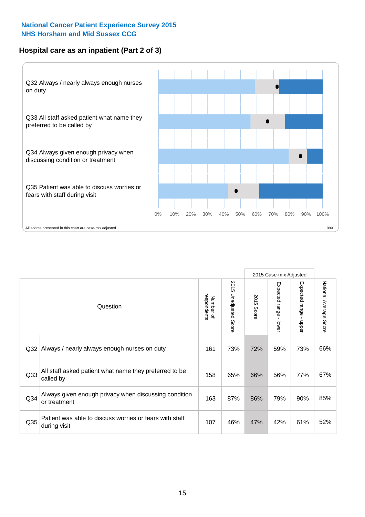### **Hospital care as an inpatient (Part 2 of 3)**



|                 |                                                                         |                          |                       |               | 2015 Case-mix Adjusted |                           |                           |
|-----------------|-------------------------------------------------------------------------|--------------------------|-----------------------|---------------|------------------------|---------------------------|---------------------------|
|                 | Question                                                                | Number of<br>respondents | 2015 Unadjusted Score | 2015<br>Score | Expected range - lower | Expected range -<br>nbber | National Average<br>Score |
| Q32             | Always / nearly always enough nurses on duty                            | 161                      | 73%                   | 72%           | 59%                    | 73%                       | 66%                       |
| Q <sub>33</sub> | All staff asked patient what name they preferred to be<br>called by     | 158                      | 65%                   | 66%           | 56%                    | 77%                       | 67%                       |
| Q <sub>34</sub> | Always given enough privacy when discussing condition<br>or treatment   | 163                      | 87%                   | 86%           | 79%                    | 90%                       | 85%                       |
| Q35             | Patient was able to discuss worries or fears with staff<br>during visit | 107                      | 46%                   | 47%           | 42%                    | 61%                       | 52%                       |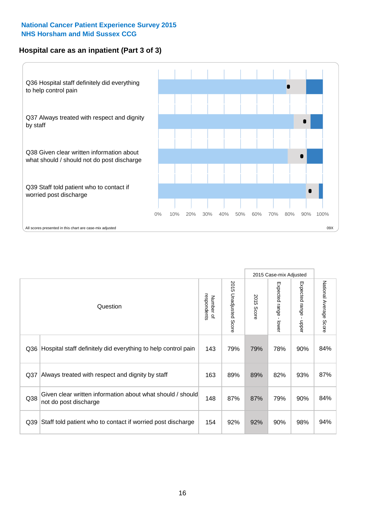### **Hospital care as an inpatient (Part 3 of 3)**



|                 |                                                                                     |                          |                                 |                      | 2015 Case-mix Adjusted                    |                                           |                        |
|-----------------|-------------------------------------------------------------------------------------|--------------------------|---------------------------------|----------------------|-------------------------------------------|-------------------------------------------|------------------------|
|                 | Question                                                                            | respondents<br>Number of | 2015<br><b>Unadjusted Score</b> | 2015<br><b>Score</b> | Expected range<br>$\blacksquare$<br>lower | Expected range<br>$\blacksquare$<br>nbber | National Average Score |
| Q36             | Hospital staff definitely did everything to help control pain                       | 143                      | 79%                             | 79%                  | 78%                                       | 90%                                       | 84%                    |
| Q <sub>37</sub> | Always treated with respect and dignity by staff                                    | 163                      | 89%                             | 89%                  | 82%                                       | 93%                                       | 87%                    |
| Q38             | Given clear written information about what should / should<br>not do post discharge | 148                      | 87%                             | 87%                  | 79%                                       | 90%                                       | 84%                    |
| Q39             | Staff told patient who to contact if worried post discharge                         | 154                      | 92%                             | 92%                  | 90%                                       | 98%                                       | 94%                    |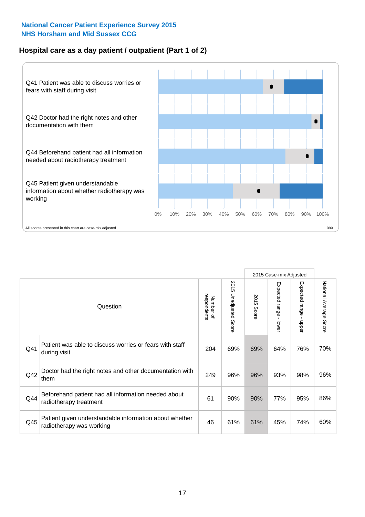### **Hospital care as a day patient / outpatient (Part 1 of 2)**



|     |                                                                                    |                          |                          |               | 2015 Case-mix Adjusted                  |                                         |                        |
|-----|------------------------------------------------------------------------------------|--------------------------|--------------------------|---------------|-----------------------------------------|-----------------------------------------|------------------------|
|     | Question                                                                           | respondents<br>Number of | 2015<br>Unadjusted Score | 2015<br>Score | Expected range<br>$\mathbf{I}$<br>lower | Expected range<br>$\mathbf{I}$<br>nbber | National Average Score |
| Q41 | Patient was able to discuss worries or fears with staff<br>during visit            | 204                      | 69%                      | 69%           | 64%                                     | 76%                                     | 70%                    |
| Q42 | Doctor had the right notes and other documentation with<br>them                    | 249                      | 96%                      | 96%           | 93%                                     | 98%                                     | 96%                    |
| Q44 | Beforehand patient had all information needed about<br>radiotherapy treatment      | 61                       | 90%                      | 90%           | 77%                                     | 95%                                     | 86%                    |
| Q45 | Patient given understandable information about whether<br>radiotherapy was working | 46                       | 61%                      | 61%           | 45%                                     | 74%                                     | 60%                    |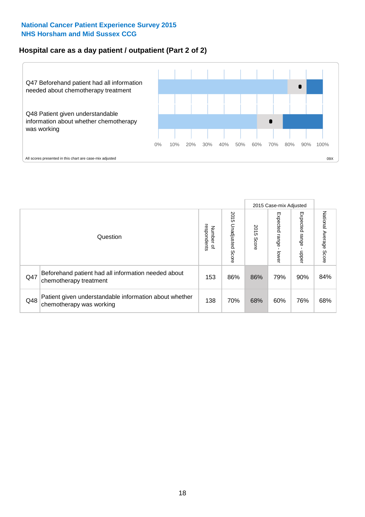### **Hospital care as a day patient / outpatient (Part 2 of 2)**



|     |                                                                                    |                                       |                             | 2015 Case-mix Adjusted |                              |                            |                           |
|-----|------------------------------------------------------------------------------------|---------------------------------------|-----------------------------|------------------------|------------------------------|----------------------------|---------------------------|
|     | Question                                                                           | respondents<br>Number<br>$\mathbf{Q}$ | 2015<br>Unadjusted<br>Score | 2015<br>Score          | Expected<br>I range<br>lower | Expected<br>range<br>doper | National Average<br>Score |
| Q47 | Beforehand patient had all information needed about<br>chemotherapy treatment      | 153                                   | 86%                         | 86%                    | 79%                          | 90%                        | 84%                       |
| Q48 | Patient given understandable information about whether<br>chemotherapy was working | 138                                   | 70%                         | 68%                    | 60%                          | 76%                        | 68%                       |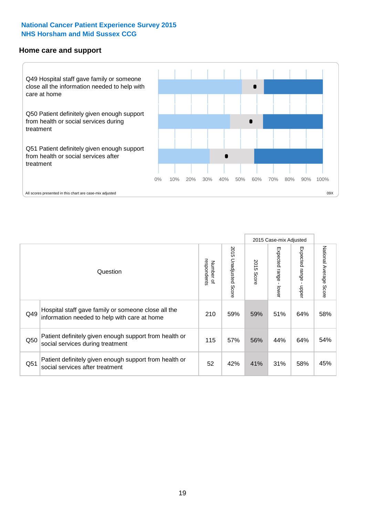#### **Home care and support**



All scores presented in this chart are case-mix adjusted

|                 |                                                                                                     |                          |                       | 2015 Case-mix Adjusted |                         |                         |                           |
|-----------------|-----------------------------------------------------------------------------------------------------|--------------------------|-----------------------|------------------------|-------------------------|-------------------------|---------------------------|
|                 | Question                                                                                            | respondents<br>Number of | 2015 Unadjusted Score | 2015<br>Score          | Expected range<br>lower | Expected range<br>nbber | National Average<br>Score |
| Q49             | Hospital staff gave family or someone close all the<br>information needed to help with care at home | 210                      | 59%                   | 59%                    | 51%                     | 64%                     | 58%                       |
| Q50             | Patient definitely given enough support from health or<br>social services during treatment          | 115                      | 57%                   | 56%                    | 44%                     | 64%                     | 54%                       |
| Q <sub>51</sub> | Patient definitely given enough support from health or<br>social services after treatment           | 52                       | 42%                   | 41%                    | 31%                     | 58%                     | 45%                       |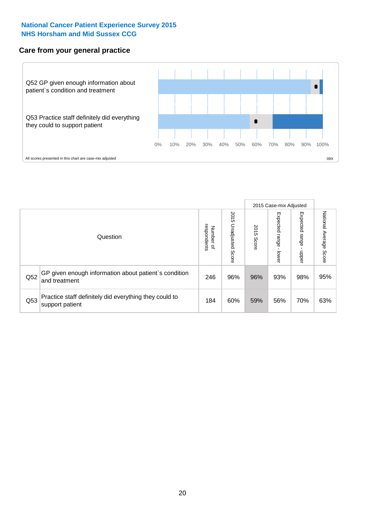#### **Care from your general practice**



|     |                                                                           |                                       |                             | 2015 Case-mix Adjusted |                                   |                            |                           |
|-----|---------------------------------------------------------------------------|---------------------------------------|-----------------------------|------------------------|-----------------------------------|----------------------------|---------------------------|
|     | Question                                                                  | respondents<br>Number<br>$\mathbf{Q}$ | 2015<br>Unadjusted<br>Score | 2015<br>Score          | Expected<br><b>Lange</b><br>lower | Expected<br>range<br>doper | National Average<br>Score |
| Q52 | GP given enough information about patient's condition<br>and treatment    | 246                                   | 96%                         | 96%                    | 93%                               | 98%                        | 95%                       |
| Q53 | Practice staff definitely did everything they could to<br>support patient | 184                                   | 60%                         | 59%                    | 56%                               | 70%                        | 63%                       |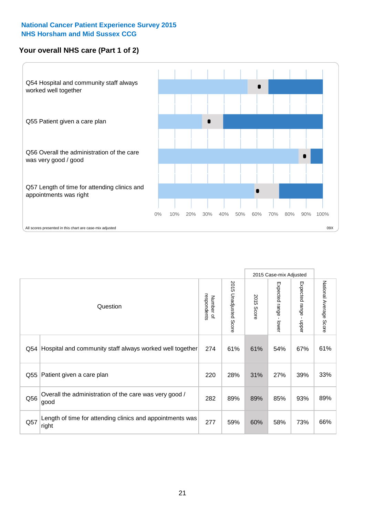### **Your overall NHS care (Part 1 of 2)**



|     |                                                                    |                          |                                 | 2015 Case-mix Adjusted |                         |                                           |                        |
|-----|--------------------------------------------------------------------|--------------------------|---------------------------------|------------------------|-------------------------|-------------------------------------------|------------------------|
|     | Question                                                           | respondents<br>Number of | 2015<br><b>Unadjusted Score</b> | 2015<br>Score          | Expected range<br>lower | Expected range<br>$\blacksquare$<br>nbber | National Average Score |
| Q54 | Hospital and community staff always worked well together           | 274                      | 61%                             | 61%                    | 54%                     | 67%                                       | 61%                    |
| Q55 | Patient given a care plan                                          | 220                      | 28%                             | 31%                    | 27%                     | 39%                                       | 33%                    |
| Q56 | Overall the administration of the care was very good /<br>good     | 282                      | 89%                             | 89%                    | 85%                     | 93%                                       | 89%                    |
| Q57 | Length of time for attending clinics and appointments was<br>right | 277                      | 59%                             | 60%                    | 58%                     | 73%                                       | 66%                    |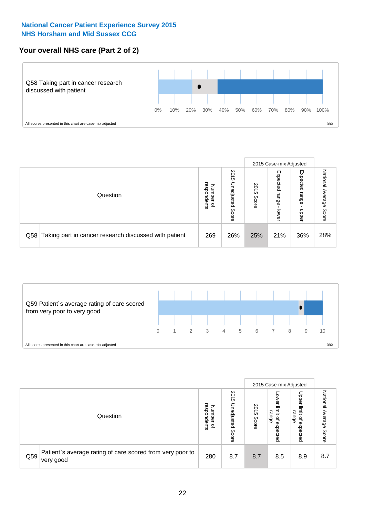### **Your overall NHS care (Part 2 of 2)**



|     |                                                       |                                              |                             |               | 2015 Case-mix Adjusted     |                            |                        |
|-----|-------------------------------------------------------|----------------------------------------------|-----------------------------|---------------|----------------------------|----------------------------|------------------------|
|     | Question                                              | respondents<br>Number<br>$\overline{\sigma}$ | 2015<br>Unadjusted<br>Score | 2015<br>Score | Expected<br>range<br>lower | Expected<br>range<br>doper | National Average Score |
| Q58 | Taking part in cancer research discussed with patient | 269                                          | 26%                         | 25%           | 21%                        | 36%                        | 28%                    |



|     |                                                                        |                                              |                             |               | 2015 Case-mix Adjusted                  |                                                       |                              |
|-----|------------------------------------------------------------------------|----------------------------------------------|-----------------------------|---------------|-----------------------------------------|-------------------------------------------------------|------------------------------|
|     | Question                                                               | respondents<br>Number<br>$\overline{\sigma}$ | 2015<br>Jnadjusted<br>Score | 2015<br>Score | OWer<br>limit<br>range<br>٩<br>expected | Upper<br>limit<br>range<br>$\overline{a}$<br>expected | National<br>Average<br>Score |
| Q59 | Patient's average rating of care scored from very poor to<br>very good | 280                                          | 8.7                         | 8.7           | 8.5                                     | 8.9                                                   | 8.7                          |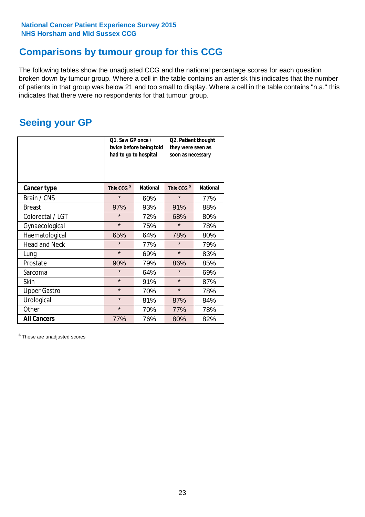# **Comparisons by tumour group for this CCG**

The following tables show the unadjusted CCG and the national percentage scores for each question broken down by tumour group. Where a cell in the table contains an asterisk this indicates that the number of patients in that group was below 21 and too small to display. Where a cell in the table contains "n.a." this indicates that there were no respondents for that tumour group.

# **Seeing your GP**

|                      | Q1. Saw GP once /<br>had to go to hospital | twice before being told | Q2. Patient thought<br>they were seen as<br>soon as necessary |                 |  |
|----------------------|--------------------------------------------|-------------------------|---------------------------------------------------------------|-----------------|--|
| <b>Cancer type</b>   | This CCG <sup>\$</sup>                     | <b>National</b>         | This CCG <sup>\$</sup>                                        | <b>National</b> |  |
| Brain / CNS          | $\star$                                    | 60%                     | $\star$                                                       | 77%             |  |
| <b>Breast</b>        | 97%                                        | 93%                     | 91%                                                           | 88%             |  |
| Colorectal / LGT     | $\star$                                    | 72%                     | 68%                                                           | 80%             |  |
| Gynaecological       | $\star$                                    | 75%                     | $\star$                                                       | 78%             |  |
| Haematological       | 65%                                        | 64%                     | 78%                                                           | 80%             |  |
| <b>Head and Neck</b> | $\star$                                    | 77%                     | $\star$                                                       | 79%             |  |
| Lung                 | $\star$                                    | 69%                     | $\star$                                                       | 83%             |  |
| Prostate             | 90%                                        | 79%                     | 86%                                                           | 85%             |  |
| Sarcoma              | $\star$                                    | 64%                     | $\star$                                                       | 69%             |  |
| Skin                 | $\star$                                    | 91%                     | $\star$                                                       | 87%             |  |
| <b>Upper Gastro</b>  | $\star$                                    | 70%                     | $\star$                                                       | 78%             |  |
| Urological           | $\star$                                    | 81%                     | 87%                                                           | 84%             |  |
| Other                | $\star$                                    | 70%                     | 77%                                                           | 78%             |  |
| <b>All Cancers</b>   | 77%                                        | 76%                     | 80%                                                           | 82%             |  |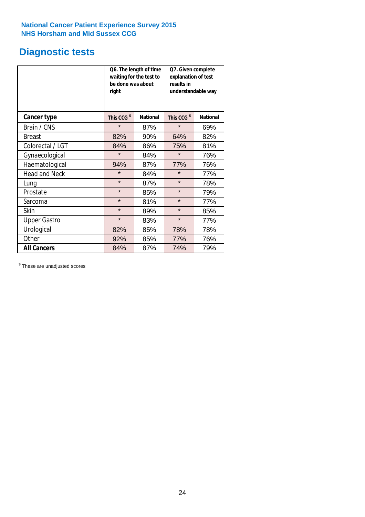# **Diagnostic tests**

|                      | be done was about<br>right | Q6. The length of time<br>waiting for the test to | Q7. Given complete<br>explanation of test<br>results in<br>understandable way |                 |  |
|----------------------|----------------------------|---------------------------------------------------|-------------------------------------------------------------------------------|-----------------|--|
| <b>Cancer type</b>   | This CCG <sup>\$</sup>     | <b>National</b>                                   | This CCG <sup>\$</sup>                                                        | <b>National</b> |  |
| Brain / CNS          | $\star$                    | 87%                                               | $\star$                                                                       | 69%             |  |
| <b>Breast</b>        | 82%                        | 90%                                               | 64%                                                                           | 82%             |  |
| Colorectal / LGT     | 84%                        | 86%                                               | 75%                                                                           | 81%             |  |
| Gynaecological       | $\star$                    | 84%                                               | $\star$                                                                       | 76%             |  |
| Haematological       | 94%                        | 87%                                               | 77%                                                                           | 76%             |  |
| <b>Head and Neck</b> | $\star$                    | 84%                                               | $\star$                                                                       | 77%             |  |
| Lung                 | $\star$                    | 87%                                               | $\star$                                                                       | 78%             |  |
| Prostate             | $\star$                    | 85%                                               | $\star$                                                                       | 79%             |  |
| Sarcoma              | $\star$                    | 81%                                               | $\star$                                                                       | 77%             |  |
| Skin                 | $\star$                    | 89%                                               | $\star$                                                                       | 85%             |  |
| <b>Upper Gastro</b>  | $\star$                    | 83%                                               | $\star$                                                                       | 77%             |  |
| Urological           | 82%                        | 85%                                               | 78%                                                                           | 78%             |  |
| Other                | 92%                        | 85%                                               | 77%                                                                           | 76%             |  |
| <b>All Cancers</b>   | 84%                        | 87%                                               | 74%                                                                           | 79%             |  |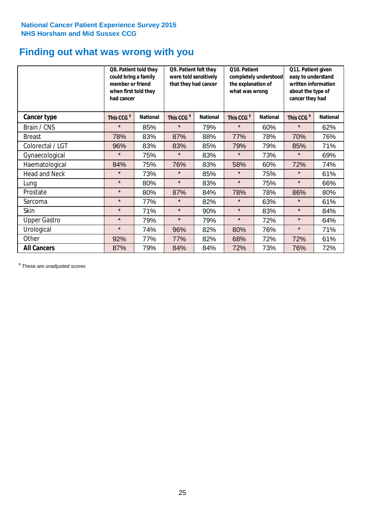# **Finding out what was wrong with you**

|                      | Q8. Patient told they<br>could bring a family<br>member or friend<br>when first told they<br>had cancer |                 | Q9. Patient felt they<br>were told sensitively<br>that they had cancer |                 | Q10. Patient<br>completely understood<br>the explanation of<br>what was wrong |                 | Q11. Patient given<br>easy to understand<br>written information<br>about the type of<br>cancer they had |                 |
|----------------------|---------------------------------------------------------------------------------------------------------|-----------------|------------------------------------------------------------------------|-----------------|-------------------------------------------------------------------------------|-----------------|---------------------------------------------------------------------------------------------------------|-----------------|
| Cancer type          | This CCG <sup>\$</sup>                                                                                  | <b>National</b> | This CCG <sup>\$</sup>                                                 | <b>National</b> | This CCG <sup>\$</sup>                                                        | <b>National</b> | This CCG <sup>\$</sup>                                                                                  | <b>National</b> |
| Brain / CNS          | $\star$                                                                                                 | 85%             | $\star$                                                                | 79%             | $\star$                                                                       | 60%             | $\star$                                                                                                 | 62%             |
| <b>Breast</b>        | 78%                                                                                                     | 83%             | 87%                                                                    | 88%             | 77%                                                                           | 78%             | 70%                                                                                                     | 76%             |
| Colorectal / LGT     | 96%                                                                                                     | 83%             | 83%                                                                    | 85%             | 79%                                                                           | 79%             | 85%                                                                                                     | 71%             |
| Gynaecological       | $\star$                                                                                                 | 75%             | $\star$                                                                | 83%             | $\star$                                                                       | 73%             | $\star$                                                                                                 | 69%             |
| Haematological       | 84%                                                                                                     | 75%             | 76%                                                                    | 83%             | 58%                                                                           | 60%             | 72%                                                                                                     | 74%             |
| <b>Head and Neck</b> | $\star$                                                                                                 | 73%             | $\star$                                                                | 85%             | $\star$                                                                       | 75%             | $\star$                                                                                                 | 61%             |
| Lung                 | $\star$                                                                                                 | 80%             | $\star$                                                                | 83%             | $\star$                                                                       | 75%             | $\star$                                                                                                 | 66%             |
| Prostate             | $\star$                                                                                                 | 80%             | 87%                                                                    | 84%             | 78%                                                                           | 78%             | 86%                                                                                                     | 80%             |
| Sarcoma              | $\star$                                                                                                 | 77%             | $\star$                                                                | 82%             | $\star$                                                                       | 63%             | $\star$                                                                                                 | 61%             |
| Skin                 | $\star$                                                                                                 | 71%             | $\star$                                                                | 90%             | $\star$                                                                       | 83%             | $\star$                                                                                                 | 84%             |
| <b>Upper Gastro</b>  | $\star$                                                                                                 | 79%             | $\star$                                                                | 79%             | $\star$                                                                       | 72%             | $\star$                                                                                                 | 64%             |
| Urological           | $\star$                                                                                                 | 74%             | 96%                                                                    | 82%             | 80%                                                                           | 76%             | $\star$                                                                                                 | 71%             |
| Other                | 92%                                                                                                     | 77%             | 77%                                                                    | 82%             | 68%                                                                           | 72%             | 72%                                                                                                     | 61%             |
| <b>All Cancers</b>   | 87%                                                                                                     | 79%             | 84%                                                                    | 84%             | 72%                                                                           | 73%             | 76%                                                                                                     | 72%             |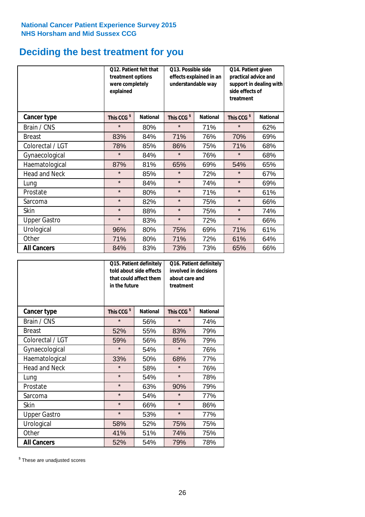# **Deciding the best treatment for you**

|                      | treatment options<br>were completely<br>explained | 012. Patient felt that | 013. Possible side<br>understandable way | effects explained in an | Q14. Patient given<br>practical advice and<br>support in dealing with<br>side effects of<br>treatment |                 |  |
|----------------------|---------------------------------------------------|------------------------|------------------------------------------|-------------------------|-------------------------------------------------------------------------------------------------------|-----------------|--|
| <b>Cancer type</b>   | This CCG <sup>\$</sup>                            | <b>National</b>        | This CCG <sup>\$</sup>                   | <b>National</b>         | This CCG <sup>\$</sup>                                                                                | <b>National</b> |  |
| Brain / CNS          | $\star$                                           | 80%                    | $\star$                                  | 71%                     | $\star$                                                                                               | 62%             |  |
| <b>Breast</b>        | 83%                                               | 84%                    | 71%                                      | 76%                     | 70%                                                                                                   | 69%             |  |
| Colorectal / LGT     | 78%                                               | 85%                    | 86%                                      | 75%                     | 71%                                                                                                   | 68%             |  |
| Gynaecological       | $\star$                                           | 84%                    | $\star$                                  | 76%                     | $\star$                                                                                               | 68%             |  |
| Haematological       | 87%                                               | 81%                    | 65%                                      | 69%                     | 54%                                                                                                   | 65%             |  |
| <b>Head and Neck</b> | $\star$                                           | 85%                    | $\star$                                  | 72%                     | $\star$                                                                                               | 67%             |  |
| Lung                 | $\star$                                           | 84%                    | $\star$                                  | 74%                     | $\star$                                                                                               | 69%             |  |
| Prostate             | $\star$                                           | 80%                    | $\star$                                  | 71%                     | $\star$                                                                                               | 61%             |  |
| Sarcoma              | $\star$                                           | 82%                    | $\star$                                  | 75%                     | $\star$                                                                                               | 66%             |  |
| Skin                 | $\star$                                           | 88%                    | $\star$                                  | 75%                     | $\star$                                                                                               | 74%             |  |
| <b>Upper Gastro</b>  | $\star$                                           | 83%                    | $\star$                                  | 72%                     | $\star$                                                                                               | 66%             |  |
| Urological           | 96%                                               | 80%                    | 75%                                      | 69%                     | 71%                                                                                                   | 61%             |  |
| Other                | 71%                                               | 80%                    | 71%                                      | 72%                     | 61%                                                                                                   | 64%             |  |
| <b>All Cancers</b>   | 84%                                               | 83%                    | 73%                                      | 73%                     | 65%                                                                                                   | 66%             |  |

|                      | in the future          | Q15. Patient definitely<br>told about side effects<br>that could affect them | Q16. Patient definitely<br>involved in decisions<br>about care and<br>treatment |                 |  |
|----------------------|------------------------|------------------------------------------------------------------------------|---------------------------------------------------------------------------------|-----------------|--|
| <b>Cancer type</b>   | This CCG <sup>\$</sup> | <b>National</b>                                                              | This CCG <sup>\$</sup>                                                          | <b>National</b> |  |
| Brain / CNS          | $\star$                | 56%                                                                          | $\star$                                                                         | 74%             |  |
| <b>Breast</b>        | 52%                    | 55%                                                                          | 83%                                                                             | 79%             |  |
| Colorectal / LGT     | 59%                    | 56%                                                                          | 85%                                                                             | 79%             |  |
| Gynaecological       | $\star$                | 54%                                                                          |                                                                                 | 76%             |  |
| Haematological       | 33%                    | 50%                                                                          |                                                                                 | 77%             |  |
| <b>Head and Neck</b> | $\star$                | 58%                                                                          | $\star$                                                                         | 76%             |  |
| Lung                 | $\star$                | 54%                                                                          | $\star$                                                                         | 78%             |  |
| Prostate             | $\star$                | 63%                                                                          | 90%                                                                             | 79%             |  |
| Sarcoma              | $\star$                | 54%                                                                          | $\star$                                                                         | 77%             |  |
| Skin                 | $\star$                | 66%                                                                          | $\star$                                                                         | 86%             |  |
| <b>Upper Gastro</b>  | $\star$                | 53%                                                                          | $\star$                                                                         | 77%             |  |
| Urological           | 58%                    | 52%                                                                          | 75%                                                                             | 75%             |  |
| Other                | 41%                    | 51%                                                                          | 74%                                                                             | 75%             |  |
| <b>All Cancers</b>   | 52%                    | 54%                                                                          | 79%                                                                             | 78%             |  |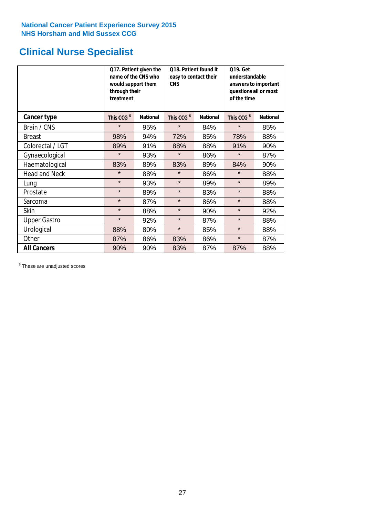# **Clinical Nurse Specialist**

|                      | would support them<br>through their<br>treatment | Q17. Patient given the<br>name of the CNS who | Q18. Patient found it<br>easy to contact their<br><b>CNS</b> |                 | <b>Q19. Get</b><br>understandable<br>answers to important<br>questions all or most<br>of the time |                 |
|----------------------|--------------------------------------------------|-----------------------------------------------|--------------------------------------------------------------|-----------------|---------------------------------------------------------------------------------------------------|-----------------|
| Cancer type          | This CCG <sup>\$</sup>                           | <b>National</b>                               | This CCG <sup>\$</sup>                                       | <b>National</b> | This CCG <sup>\$</sup>                                                                            | <b>National</b> |
| Brain / CNS          | $\star$                                          | 95%                                           | $\star$                                                      | 84%             | $\star$                                                                                           | 85%             |
| <b>Breast</b>        | 98%                                              | 94%                                           | 72%                                                          | 85%             | 78%                                                                                               | 88%             |
| Colorectal / LGT     | 89%                                              | 91%                                           | 88%                                                          | 88%             | 91%                                                                                               | 90%             |
| Gynaecological       | $\star$                                          | 93%                                           | $\star$                                                      | 86%             | $\star$                                                                                           | 87%             |
| Haematological       | 83%                                              | 89%                                           | 83%                                                          | 89%             | 84%                                                                                               | 90%             |
| <b>Head and Neck</b> | $\star$                                          | 88%                                           | $\star$                                                      | 86%             | $\star$                                                                                           | 88%             |
| Lung                 | $\star$                                          | 93%                                           | $\star$                                                      | 89%             | $\star$                                                                                           | 89%             |
| Prostate             | $\star$                                          | 89%                                           | $\star$                                                      | 83%             | $\star$                                                                                           | 88%             |
| Sarcoma              | $\star$                                          | 87%                                           | $\star$                                                      | 86%             | $\star$                                                                                           | 88%             |
| Skin                 | $\star$                                          | 88%                                           | $\star$                                                      | 90%             | $\star$                                                                                           | 92%             |
| <b>Upper Gastro</b>  | $\star$                                          | 92%                                           | $\star$                                                      | 87%             | $\star$                                                                                           | 88%             |
| Urological           | 88%                                              | 80%                                           | $\star$                                                      | 85%             | $\star$                                                                                           | 88%             |
| Other                | 87%                                              | 86%                                           | 83%                                                          | 86%             | $\star$                                                                                           | 87%             |
| <b>All Cancers</b>   | 90%                                              | 90%                                           | 83%                                                          | 87%             | 87%                                                                                               | 88%             |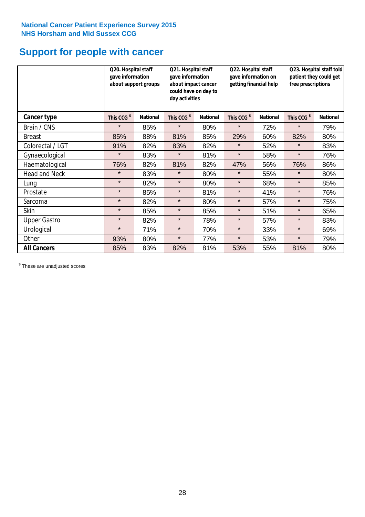# **Support for people with cancer**

|                      | gave information       | Q20. Hospital staff<br>Q21. Hospital staff<br>gave information<br>about support groups<br>about impact cancer<br>could have on day to<br>day activities |                        | Q22. Hospital staff<br>gave information on<br>getting financial help |                        | Q23. Hospital staff told<br>patient they could get<br>free prescriptions |                        |                 |
|----------------------|------------------------|---------------------------------------------------------------------------------------------------------------------------------------------------------|------------------------|----------------------------------------------------------------------|------------------------|--------------------------------------------------------------------------|------------------------|-----------------|
| <b>Cancer type</b>   | This CCG <sup>\$</sup> | <b>National</b>                                                                                                                                         | This CCG <sup>\$</sup> | <b>National</b>                                                      | This CCG <sup>\$</sup> | <b>National</b>                                                          | This CCG <sup>\$</sup> | <b>National</b> |
| Brain / CNS          | $\star$                | 85%                                                                                                                                                     | $\star$                | 80%                                                                  | $\star$                | 72%                                                                      | $\star$                | 79%             |
| <b>Breast</b>        | 85%                    | 88%                                                                                                                                                     | 81%                    | 85%                                                                  | 29%                    | 60%                                                                      | 82%                    | 80%             |
| Colorectal / LGT     | 91%                    | 82%                                                                                                                                                     | 83%                    | 82%                                                                  | $\star$                | 52%                                                                      | $\star$                | 83%             |
| Gynaecological       | $\star$                | 83%                                                                                                                                                     | $\star$                | 81%                                                                  | $\star$                | 58%                                                                      | $\star$                | 76%             |
| Haematological       | 76%                    | 82%                                                                                                                                                     | 81%                    | 82%                                                                  | 47%                    | 56%                                                                      | 76%                    | 86%             |
| <b>Head and Neck</b> | $\star$                | 83%                                                                                                                                                     | $\star$                | 80%                                                                  | $\star$                | 55%                                                                      | $\star$                | 80%             |
| Lung                 | $\star$                | 82%                                                                                                                                                     | $\star$                | 80%                                                                  | $\star$                | 68%                                                                      | $\star$                | 85%             |
| Prostate             | $\star$                | 85%                                                                                                                                                     | $\star$                | 81%                                                                  | $\star$                | 41%                                                                      | $\star$                | 76%             |
| Sarcoma              | $\star$                | 82%                                                                                                                                                     | $\star$                | 80%                                                                  | $\star$                | 57%                                                                      | $\star$                | 75%             |
| Skin                 | $\star$                | 85%                                                                                                                                                     | $\star$                | 85%                                                                  | $\star$                | 51%                                                                      | $\star$                | 65%             |
| <b>Upper Gastro</b>  | $\star$                | 82%                                                                                                                                                     | $\star$                | 78%                                                                  | $\star$                | 57%                                                                      | $\star$                | 83%             |
| Urological           | $\star$                | 71%                                                                                                                                                     | $\star$                | 70%                                                                  | $\star$                | 33%                                                                      | $\star$                | 69%             |
| Other                | 93%                    | 80%                                                                                                                                                     | $\star$                | 77%                                                                  | $\star$                | 53%                                                                      | $\star$                | 79%             |
| <b>All Cancers</b>   | 85%                    | 83%                                                                                                                                                     | 82%                    | 81%                                                                  | 53%                    | 55%                                                                      | 81%                    | 80%             |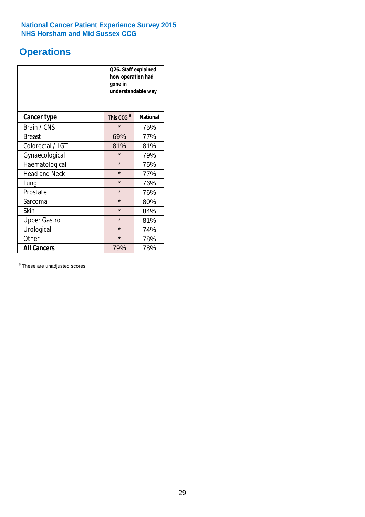# **Operations**

|                      | Q26. Staff explained<br>how operation had<br>gone in<br>understandable way |                 |  |  |
|----------------------|----------------------------------------------------------------------------|-----------------|--|--|
| <b>Cancer type</b>   | This CCG <sup>\$</sup>                                                     | <b>National</b> |  |  |
| Brain / CNS          | $\star$                                                                    | 75%             |  |  |
| <b>Breast</b>        | 69%                                                                        | 77%             |  |  |
| Colorectal / LGT     | 81%                                                                        | 81%             |  |  |
| Gynaecological       | $\star$<br>79%                                                             |                 |  |  |
| Haematological       | $\star$<br>75%                                                             |                 |  |  |
| <b>Head and Neck</b> | $\star$                                                                    | 77%             |  |  |
| Lung                 | $\star$                                                                    | 76%             |  |  |
| Prostate             | $\star$                                                                    | 76%             |  |  |
| Sarcoma              | $\star$                                                                    | 80%             |  |  |
| Skin                 | $\star$                                                                    | 84%             |  |  |
| <b>Upper Gastro</b>  | $\star$                                                                    | 81%             |  |  |
| Urological           | $\star$                                                                    | 74%             |  |  |
| Other                | $\star$<br>78%                                                             |                 |  |  |
| <b>All Cancers</b>   | 79%                                                                        | 78%             |  |  |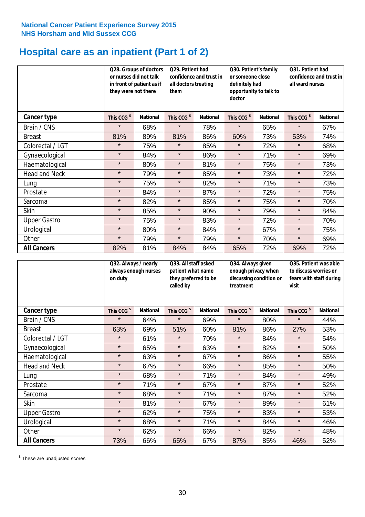# **Hospital care as an inpatient (Part 1 of 2)**

|                      | they were not there    | Q28. Groups of doctors<br>Q29. Patient had<br>or nurses did not talk<br>confidence and trust in<br>in front of patient as if<br>all doctors treating<br>them |                        | Q30. Patient's family<br>or someone close<br>definitely had<br>opportunity to talk to<br>doctor |                        | Q31. Patient had<br>confidence and trust in<br>all ward nurses |                        |                 |
|----------------------|------------------------|--------------------------------------------------------------------------------------------------------------------------------------------------------------|------------------------|-------------------------------------------------------------------------------------------------|------------------------|----------------------------------------------------------------|------------------------|-----------------|
| Cancer type          | This CCG <sup>\$</sup> | <b>National</b>                                                                                                                                              | This CCG <sup>\$</sup> | <b>National</b>                                                                                 | This CCG <sup>\$</sup> | <b>National</b>                                                | This CCG <sup>\$</sup> | <b>National</b> |
| Brain / CNS          | $\star$                | 68%                                                                                                                                                          | $\star$                | 78%                                                                                             | $\star$                | 65%                                                            | $\star$                | 67%             |
| <b>Breast</b>        | 81%                    | 89%                                                                                                                                                          | 81%                    | 86%                                                                                             | 60%                    | 73%                                                            | 53%                    | 74%             |
| Colorectal / LGT     | $\star$                | 75%                                                                                                                                                          | $\star$                | 85%                                                                                             | $\star$                | 72%                                                            | $\star$                | 68%             |
| Gynaecological       | $\star$                | 84%                                                                                                                                                          | $\star$                | 86%                                                                                             | $\star$                | 71%                                                            | $\star$                | 69%             |
| Haematological       | $\star$                | 80%                                                                                                                                                          | $\star$                | 81%                                                                                             | $\star$                | 75%                                                            | $\star$                | 73%             |
| <b>Head and Neck</b> | $\star$                | 79%                                                                                                                                                          | $\star$                | 85%                                                                                             | $\star$                | 73%                                                            | $\star$                | 72%             |
| Lung                 | $\star$                | 75%                                                                                                                                                          | $\star$                | 82%                                                                                             | $\star$                | 71%                                                            | $\star$                | 73%             |
| Prostate             | $\star$                | 84%                                                                                                                                                          | $\star$                | 87%                                                                                             | $\star$                | 72%                                                            | $\star$                | 75%             |
| Sarcoma              | $\star$                | 82%                                                                                                                                                          | $\star$                | 85%                                                                                             | $\star$                | 75%                                                            | $\star$                | 70%             |
| Skin                 | $\star$                | 85%                                                                                                                                                          | $\star$                | 90%                                                                                             | $\star$                | 79%                                                            | $\star$                | 84%             |
| <b>Upper Gastro</b>  | $\star$                | 75%                                                                                                                                                          | $\star$                | 83%                                                                                             | $\star$                | 72%                                                            | $\star$                | 70%             |
| Urological           | $\star$                | 80%                                                                                                                                                          | $\star$                | 84%                                                                                             | $\star$                | 67%                                                            | $\star$                | 75%             |
| Other                | $\star$                | 79%                                                                                                                                                          | $\star$                | 79%                                                                                             | $\star$                | 70%                                                            | $\star$                | 69%             |
| <b>All Cancers</b>   | 82%                    | 81%                                                                                                                                                          | 84%                    | 84%                                                                                             | 65%                    | 72%                                                            | 69%                    | 72%             |

|                      | Q32. Always / nearly<br>always enough nurses<br>on duty |                 | Q33. All staff asked<br>patient what name<br>they preferred to be<br>called by |                 | Q34. Always given<br>enough privacy when<br>discussing condition or<br>treatment |                 | Q35. Patient was able<br>to discuss worries or<br>fears with staff during<br>visit |                 |
|----------------------|---------------------------------------------------------|-----------------|--------------------------------------------------------------------------------|-----------------|----------------------------------------------------------------------------------|-----------------|------------------------------------------------------------------------------------|-----------------|
| <b>Cancer type</b>   | This CCG <sup>\$</sup>                                  | <b>National</b> | This CCG <sup>\$</sup>                                                         | <b>National</b> | This CCG <sup>\$</sup>                                                           | <b>National</b> | This CCG <sup>\$</sup>                                                             | <b>National</b> |
| Brain / CNS          | $\star$                                                 | 64%             | $\star$                                                                        | 69%             | $\star$                                                                          | 80%             | $\star$                                                                            | 44%             |
| <b>Breast</b>        | 63%                                                     | 69%             | 51%                                                                            | 60%             | 81%                                                                              | 86%             | 27%                                                                                | 53%             |
| Colorectal / LGT     | $\star$                                                 | 61%             | $\star$                                                                        | 70%             | $\star$                                                                          | 84%             | $\star$                                                                            | 54%             |
| Gynaecological       | $\star$                                                 | 65%             | $\star$                                                                        | 63%             | $\star$                                                                          | 82%             | $\star$                                                                            | 50%             |
| Haematological       | $\star$                                                 | 63%             | $\star$                                                                        | 67%             | $\star$                                                                          | 86%             | $\star$                                                                            | 55%             |
| <b>Head and Neck</b> | $\star$                                                 | 67%             | $\star$                                                                        | 66%             | $\star$                                                                          | 85%             | $\star$                                                                            | 50%             |
| Lung                 | $\star$                                                 | 68%             | $\star$                                                                        | 71%             | $\star$                                                                          | 84%             | $\star$                                                                            | 49%             |
| Prostate             | $\star$                                                 | 71%             | $\star$                                                                        | 67%             | $\star$                                                                          | 87%             | $\star$                                                                            | 52%             |
| Sarcoma              | $\star$                                                 | 68%             | $\star$                                                                        | 71%             | $\star$                                                                          | 87%             | $\star$                                                                            | 52%             |
| Skin                 | $\star$                                                 | 81%             | $\star$                                                                        | 67%             | $\star$                                                                          | 89%             | $\star$                                                                            | 61%             |
| <b>Upper Gastro</b>  | $\star$                                                 | 62%             | $\star$                                                                        | 75%             | $\star$                                                                          | 83%             | $\star$                                                                            | 53%             |
| Urological           | $\star$                                                 | 68%             | $\star$                                                                        | 71%             | $\star$                                                                          | 84%             | $\star$                                                                            | 46%             |
| Other                | $\star$                                                 | 62%             | $\star$                                                                        | 66%             | $\star$                                                                          | 82%             | $\star$                                                                            | 48%             |
| <b>All Cancers</b>   | 73%                                                     | 66%             | 65%                                                                            | 67%             | 87%                                                                              | 85%             | 46%                                                                                | 52%             |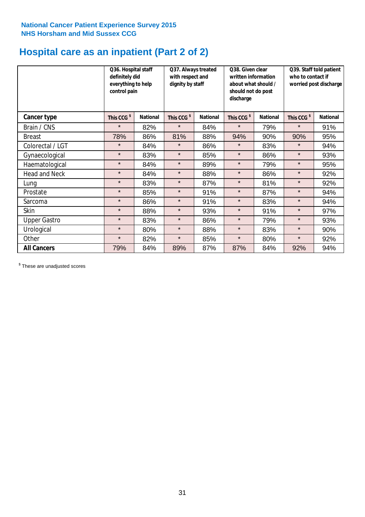# **Hospital care as an inpatient (Part 2 of 2)**

|                      | Q36. Hospital staff<br>definitely did<br>everything to help<br>control pain |                 | Q37. Always treated<br>with respect and<br>dignity by staff |                 | Q38. Given clear<br>written information<br>about what should /<br>should not do post<br>discharge |                 | Q39. Staff told patient<br>who to contact if<br>worried post discharge |                 |  |
|----------------------|-----------------------------------------------------------------------------|-----------------|-------------------------------------------------------------|-----------------|---------------------------------------------------------------------------------------------------|-----------------|------------------------------------------------------------------------|-----------------|--|
| Cancer type          | This CCG <sup>\$</sup>                                                      | <b>National</b> | This CCG <sup>\$</sup>                                      | <b>National</b> | This CCG <sup>\$</sup>                                                                            | <b>National</b> | This CCG <sup>\$</sup>                                                 | <b>National</b> |  |
| Brain / CNS          | $\star$                                                                     | 82%             | $\star$                                                     | 84%             | $\star$                                                                                           | 79%             | $\star$                                                                | 91%             |  |
| <b>Breast</b>        | 78%                                                                         | 86%             | 81%                                                         | 88%             | 94%                                                                                               | 90%             | 90%                                                                    | 95%             |  |
| Colorectal / LGT     | $\star$                                                                     | 84%             | $\star$                                                     | 86%             | $\star$                                                                                           | 83%             | $\star$                                                                | 94%             |  |
| Gynaecological       | $\star$                                                                     | 83%             | $\star$                                                     | 85%             | $\star$                                                                                           | 86%             | $\star$                                                                | 93%             |  |
| Haematological       | $\star$                                                                     | 84%             | $\star$                                                     | 89%             | $\star$                                                                                           | 79%             | $\star$                                                                | 95%             |  |
| <b>Head and Neck</b> | $\star$                                                                     | 84%             | $\star$                                                     | 88%             | $\star$                                                                                           | 86%             | $\star$                                                                | 92%             |  |
| Lung                 | $\star$                                                                     | 83%             | $\star$                                                     | 87%             | $\star$                                                                                           | 81%             | $\star$                                                                | 92%             |  |
| Prostate             | $\star$                                                                     | 85%             | $\star$                                                     | 91%             | $\star$                                                                                           | 87%             | $\star$                                                                | 94%             |  |
| Sarcoma              | $\star$                                                                     | 86%             | $\star$                                                     | 91%             | $\star$                                                                                           | 83%             | $\star$                                                                | 94%             |  |
| Skin                 | $\star$                                                                     | 88%             | $\star$                                                     | 93%             | $\star$                                                                                           | 91%             | $\star$                                                                | 97%             |  |
| <b>Upper Gastro</b>  | $\star$                                                                     | 83%             | $\star$                                                     | 86%             | $\star$                                                                                           | 79%             | $\star$                                                                | 93%             |  |
| Urological           | $\star$                                                                     | 80%             | $\star$                                                     | 88%             | $\star$                                                                                           | 83%             | $\star$                                                                | 90%             |  |
| Other                | $\star$                                                                     | 82%             | $\star$                                                     | 85%             | $\star$                                                                                           | 80%             | $\star$                                                                | 92%             |  |
| <b>All Cancers</b>   | 79%                                                                         | 84%             | 89%                                                         | 87%             | 87%                                                                                               | 84%             | 92%                                                                    | 94%             |  |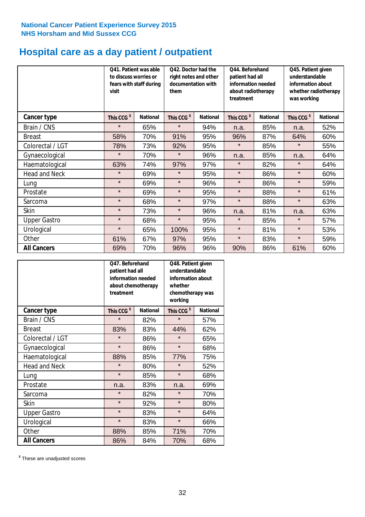# **Hospital care as a day patient / outpatient**

|                      | to discuss worries or<br>visit | Q41. Patient was able<br>fears with staff during | Q42. Doctor had the<br>right notes and other<br>documentation with<br>them |                 | Q44. Beforehand<br>patient had all<br>information needed<br>about radiotherapy<br>treatment |                 | Q45. Patient given<br>understandable<br>information about<br>whether radiotherapy<br>was working |                 |
|----------------------|--------------------------------|--------------------------------------------------|----------------------------------------------------------------------------|-----------------|---------------------------------------------------------------------------------------------|-----------------|--------------------------------------------------------------------------------------------------|-----------------|
| Cancer type          | This CCG <sup>\$</sup>         | <b>National</b>                                  | This CCG <sup>\$</sup>                                                     | <b>National</b> | This CCG <sup>\$</sup>                                                                      | <b>National</b> | This CCG <sup>\$</sup>                                                                           | <b>National</b> |
| Brain / CNS          | $\star$                        | 65%                                              | $\star$                                                                    | 94%             | n.a.                                                                                        | 85%             | n.a.                                                                                             | 52%             |
| <b>Breast</b>        | 58%                            | 70%                                              | 91%                                                                        | 95%             | 96%                                                                                         | 87%             | 64%                                                                                              | 60%             |
| Colorectal / LGT     | 78%                            | 73%                                              | 92%                                                                        | 95%             | $\star$                                                                                     | 85%             | $\star$                                                                                          | 55%             |
| Gynaecological       | $\star$                        | 70%                                              | $\star$                                                                    | 96%             | n.a.                                                                                        | 85%             | n.a.                                                                                             | 64%             |
| Haematological       | 63%                            | 74%                                              | 97%                                                                        | 97%             | $\star$                                                                                     | 82%             | $\star$                                                                                          | 64%             |
| <b>Head and Neck</b> | $\star$                        | 69%                                              | $\star$                                                                    | 95%             | $\star$                                                                                     | 86%             | $\star$                                                                                          | 60%             |
| Lung                 | $\star$                        | 69%                                              | $\star$                                                                    | 96%             | $\star$                                                                                     | 86%             | $\star$                                                                                          | 59%             |
| Prostate             | $\star$                        | 69%                                              | $\star$                                                                    | 95%             | $\star$                                                                                     | 88%             | $\star$                                                                                          | 61%             |
| Sarcoma              | $\star$                        | 68%                                              | $\star$                                                                    | 97%             | $\star$                                                                                     | 88%             | $\star$                                                                                          | 63%             |
| Skin                 | $\star$                        | 73%                                              | $\star$                                                                    | 96%             | n.a.                                                                                        | 81%             | n.a.                                                                                             | 63%             |
| <b>Upper Gastro</b>  | $\star$                        | 68%                                              | $\star$                                                                    | 95%             | $\star$                                                                                     | 85%             | $\star$                                                                                          | 57%             |
| Urological           | $\star$                        | 65%                                              | 100%                                                                       | 95%             | $\star$                                                                                     | 81%             | $\star$                                                                                          | 53%             |
| Other                | 61%                            | 67%                                              | 97%                                                                        | 95%             | $\star$                                                                                     | 83%             | $\star$                                                                                          | 59%             |
| <b>All Cancers</b>   | 69%                            | 70%                                              | 96%                                                                        | 96%             | 90%                                                                                         | 86%             | 61%                                                                                              | 60%             |

|                      | Q47. Beforehand<br>patient had all<br>information needed<br>about chemotherapy<br>treatment |                 | Q48. Patient given<br>understandable<br>information about<br>whether<br>chemotherapy was<br>working |                 |  |
|----------------------|---------------------------------------------------------------------------------------------|-----------------|-----------------------------------------------------------------------------------------------------|-----------------|--|
| <b>Cancer type</b>   | This CCG <sup>\$</sup>                                                                      | <b>National</b> | This CCG <sup>\$</sup>                                                                              | <b>National</b> |  |
| Brain / CNS          | $\star$                                                                                     | 82%             | $\star$                                                                                             | 57%             |  |
| <b>Breast</b>        | 83%                                                                                         | 83%             | 44%                                                                                                 | 62%             |  |
| Colorectal / LGT     | $\star$                                                                                     | 86%             | $\star$                                                                                             | 65%             |  |
| Gynaecological       | $\star$                                                                                     | 86%             | $\star$                                                                                             | 68%             |  |
| Haematological       | 88%<br>85%                                                                                  |                 | 77%                                                                                                 | 75%             |  |
| <b>Head and Neck</b> | $\star$                                                                                     | 80%             | $\star$                                                                                             | 52%             |  |
| Lung                 | $\star$                                                                                     | 85%             | $\star$                                                                                             | 68%             |  |
| Prostate             | n.a.                                                                                        | 83%             | n.a.                                                                                                | 69%             |  |
| Sarcoma              | $\star$                                                                                     | 82%             | $\star$                                                                                             | 70%             |  |
| Skin                 | $\star$                                                                                     | 92%             | $\star$                                                                                             | 80%             |  |
| <b>Upper Gastro</b>  | $\star$                                                                                     | 83%             | $\star$                                                                                             | 64%             |  |
| Urological           | $\star$                                                                                     | 83%             | $\star$                                                                                             | 66%             |  |
| Other                | 88%                                                                                         | 85%             | 71%                                                                                                 | 70%             |  |
| <b>All Cancers</b>   | 86%                                                                                         | 84%             | 70%                                                                                                 | 68%             |  |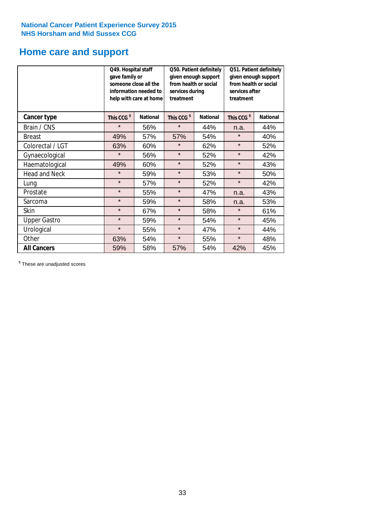# **Home care and support**

|                      | Q49. Hospital staff<br>gave family or | someone close all the<br>information needed to<br>help with care at home | Q50. Patient definitely<br>given enough support<br>from health or social<br>services during<br>treatment |                 | Q51. Patient definitely<br>given enough support<br>from health or social<br>services after<br>treatment |                 |
|----------------------|---------------------------------------|--------------------------------------------------------------------------|----------------------------------------------------------------------------------------------------------|-----------------|---------------------------------------------------------------------------------------------------------|-----------------|
| <b>Cancer type</b>   | This CCG <sup>\$</sup>                | <b>National</b>                                                          | This CCG <sup>\$</sup>                                                                                   | <b>National</b> | This CCG <sup>\$</sup>                                                                                  | <b>National</b> |
| Brain / CNS          | $\star$                               | 56%                                                                      | $\star$                                                                                                  | 44%             | n.a.                                                                                                    | 44%             |
| <b>Breast</b>        | 49%                                   | 57%                                                                      | 57%                                                                                                      | 54%             | $\star$                                                                                                 | 40%             |
| Colorectal / LGT     | 63%                                   | 60%                                                                      | $\star$                                                                                                  | 62%             | $\star$                                                                                                 | 52%             |
| Gynaecological       | $\star$                               | 56%                                                                      | $\star$                                                                                                  | 52%             | $\star$                                                                                                 | 42%             |
| Haematological       | 49%                                   | 60%                                                                      | $\star$                                                                                                  | 52%             | $\star$                                                                                                 | 43%             |
| <b>Head and Neck</b> | $\star$                               | 59%                                                                      | $\star$                                                                                                  | 53%             | $\star$                                                                                                 | 50%             |
| Lung                 | $\star$                               | 57%                                                                      | $\star$                                                                                                  | 52%             | $\star$                                                                                                 | 42%             |
| Prostate             | $\star$                               | 55%                                                                      | $\star$                                                                                                  | 47%             | n.a.                                                                                                    | 43%             |
| Sarcoma              | $\star$                               | 59%                                                                      | $\star$                                                                                                  | 58%             | n.a.                                                                                                    | 53%             |
| Skin                 | $\star$                               | 67%                                                                      | $\star$                                                                                                  | 58%             | $\star$                                                                                                 | 61%             |
| <b>Upper Gastro</b>  | $\star$                               | 59%                                                                      | $\star$                                                                                                  | 54%             | $\star$                                                                                                 | 45%             |
| Urological           | $\star$                               | 55%                                                                      | $\star$                                                                                                  | 47%             | $\star$                                                                                                 | 44%             |
| Other                | 63%                                   | 54%                                                                      | $\star$                                                                                                  | 55%             | $\star$                                                                                                 | 48%             |
| <b>All Cancers</b>   | 59%                                   | 58%                                                                      | 57%                                                                                                      | 54%             | 42%                                                                                                     | 45%             |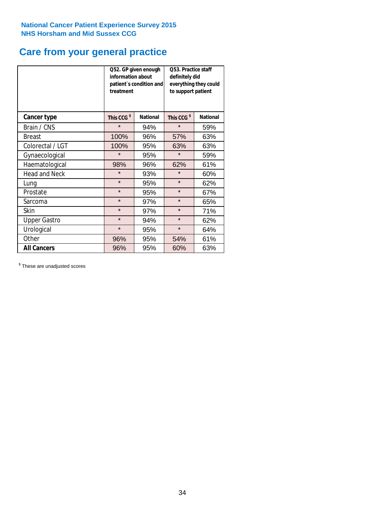# **Care from your general practice**

|                      | information about<br>treatment | Q52. GP given enough<br>patient's condition and | O53. Practice staff<br>definitely did<br>everything they could<br>to support patient |                 |  |
|----------------------|--------------------------------|-------------------------------------------------|--------------------------------------------------------------------------------------|-----------------|--|
| <b>Cancer type</b>   | This CCG <sup>\$</sup>         | <b>National</b>                                 | This CCG <sup>\$</sup>                                                               | <b>National</b> |  |
| Brain / CNS          | $\star$                        | 94%                                             | $\star$                                                                              | 59%             |  |
| <b>Breast</b>        | 100%                           | 96%                                             | 57%                                                                                  | 63%             |  |
| Colorectal / LGT     | 100%                           | 95%                                             | 63%                                                                                  | 63%             |  |
| Gynaecological       | $\star$<br>95%                 |                                                 | $\star$                                                                              | 59%             |  |
| Haematological       | 98%                            | 96%                                             | 62%                                                                                  | 61%             |  |
| <b>Head and Neck</b> | $\star$                        | 93%                                             | $\star$                                                                              | 60%             |  |
| Lung                 | $\star$                        | 95%                                             | $\star$                                                                              | 62%             |  |
| Prostate             | $\star$                        | 95%                                             | $\star$                                                                              | 67%             |  |
| Sarcoma              | $\star$                        | 97%                                             | $\star$                                                                              | 65%             |  |
| Skin                 | $\star$                        | 97%                                             | $\star$                                                                              | 71%             |  |
| <b>Upper Gastro</b>  | $\star$                        | 94%                                             | $\star$                                                                              | 62%             |  |
| Urological           | $\star$                        | 95%                                             | $\star$                                                                              | 64%             |  |
| Other                | 96%                            | 95%                                             | 54%                                                                                  | 61%             |  |
| <b>All Cancers</b>   | 96%                            | 95%                                             | 60%                                                                                  | 63%             |  |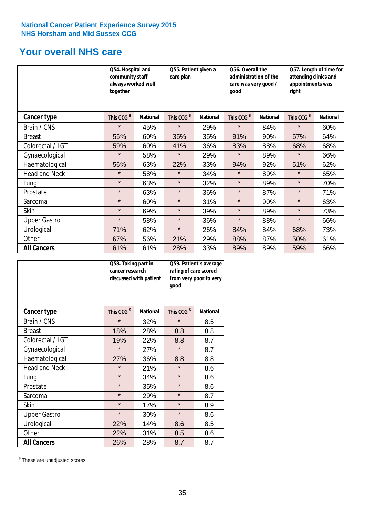# **Your overall NHS care**

|                      | Q54. Hospital and<br>community staff<br>always worked well<br>together |                 | Q55. Patient given a<br>care plan |                 | Q56. Overall the<br>administration of the<br>care was very good /<br>qood |                 | Q57. Length of time for<br>attending clinics and<br>appointments was<br>right |                 |
|----------------------|------------------------------------------------------------------------|-----------------|-----------------------------------|-----------------|---------------------------------------------------------------------------|-----------------|-------------------------------------------------------------------------------|-----------------|
| <b>Cancer type</b>   | This CCG <sup>\$</sup>                                                 | <b>National</b> | This CCG <sup>\$</sup>            | <b>National</b> | This CCG <sup>\$</sup>                                                    | <b>National</b> | This CCG <sup>\$</sup>                                                        | <b>National</b> |
| Brain / CNS          | $\star$                                                                | 45%             | $\star$                           | 29%             | $\star$                                                                   | 84%             | $\star$                                                                       | 60%             |
| <b>Breast</b>        | 55%                                                                    | 60%             | 35%                               | 35%             | 91%                                                                       | 90%             | 57%                                                                           | 64%             |
| Colorectal / LGT     | 59%                                                                    | 60%             | 41%                               | 36%             | 83%                                                                       | 88%             | 68%                                                                           | 68%             |
| Gynaecological       | $\star$                                                                | 58%             | $\star$                           | 29%             | $\star$                                                                   | 89%             | $\star$                                                                       | 66%             |
| Haematological       | 56%                                                                    | 63%             | 22%                               | 33%             | 94%                                                                       | 92%             | 51%                                                                           | 62%             |
| <b>Head and Neck</b> | $\star$                                                                | 58%             | $\star$                           | 34%             | $\star$                                                                   | 89%             | $\star$                                                                       | 65%             |
| Lung                 | $\star$                                                                | 63%             | $\star$                           | 32%             | $\star$                                                                   | 89%             | $\star$                                                                       | 70%             |
| Prostate             | $\star$                                                                | 63%             | $\star$                           | 36%             | $\star$                                                                   | 87%             | $\star$                                                                       | 71%             |
| Sarcoma              | $\star$                                                                | 60%             | $\star$                           | 31%             | $\star$                                                                   | 90%             | $\star$                                                                       | 63%             |
| Skin                 | $\star$                                                                | 69%             | $\star$                           | 39%             | $\star$                                                                   | 89%             | $\star$                                                                       | 73%             |
| <b>Upper Gastro</b>  | $\star$                                                                | 58%             | $\star$                           | 36%             | $\star$                                                                   | 88%             | $\star$                                                                       | 66%             |
| Urological           | 71%                                                                    | 62%             | $\star$                           | 26%             | 84%                                                                       | 84%             | 68%                                                                           | 73%             |
| Other                | 67%                                                                    | 56%             | 21%                               | 29%             | 88%                                                                       | 87%             | 50%                                                                           | 61%             |
| <b>All Cancers</b>   | 61%                                                                    | 61%             | 28%                               | 33%             | 89%                                                                       | 89%             | 59%                                                                           | 66%             |

|                      | Q58. Taking part in<br>cancer research | discussed with patient | Q59. Patient's average<br>rating of care scored<br>from very poor to very<br>good |                 |  |
|----------------------|----------------------------------------|------------------------|-----------------------------------------------------------------------------------|-----------------|--|
| <b>Cancer type</b>   | This CCG <sup>\$</sup>                 | <b>National</b>        | This CCG <sup>\$</sup>                                                            | <b>National</b> |  |
| Brain / CNS          | $\star$                                | 32%                    | $\star$                                                                           | 8.5             |  |
| <b>Breast</b>        | 18%                                    | 28%                    | 8.8                                                                               | 8.8             |  |
| Colorectal / LGT     | 19%                                    | 22%                    | 8.8                                                                               | 8.7             |  |
| Gynaecological       | $\star$<br>27%                         |                        | $\star$                                                                           | 8.7             |  |
| Haematological       | 27%                                    | 36%                    | 8.8                                                                               | 8.8             |  |
| <b>Head and Neck</b> | $\star$                                | 21%                    | $\star$                                                                           | 8.6             |  |
| Lung                 | $\star$                                | 34%                    | $\star$                                                                           | 8.6             |  |
| Prostate             | $\star$                                | 35%                    | $\star$                                                                           | 8.6             |  |
| Sarcoma              | $\star$                                | 29%                    | $\star$                                                                           | 8.7             |  |
| Skin                 | $\star$                                | 17%                    | $\star$                                                                           | 8.9             |  |
| <b>Upper Gastro</b>  | $\star$                                | 30%                    | $\star$                                                                           | 8.6             |  |
| Urological           | 22%                                    | 14%                    | 8.6                                                                               | 8.5             |  |
| Other                | 22%                                    | 31%                    | 8.5                                                                               | 8.6             |  |
| <b>All Cancers</b>   | 26%                                    | 28%                    | 8.7                                                                               | 8.7             |  |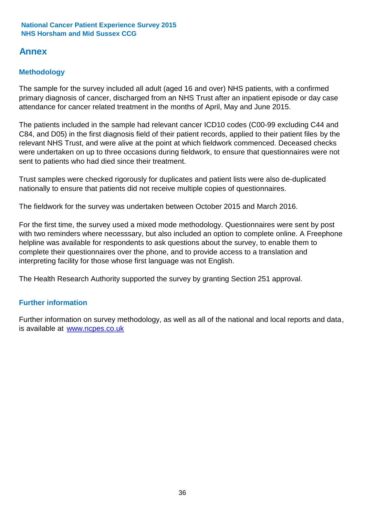## **Annex**

### **Methodology**

The sample for the survey included all adult (aged 16 and over) NHS patients, with a confirmed primary diagnosis of cancer, discharged from an NHS Trust after an inpatient episode or day case attendance for cancer related treatment in the months of April, May and June 2015.

The patients included in the sample had relevant cancer ICD10 codes (C00-99 excluding C44 and C84, and D05) in the first diagnosis field of their patient records, applied to their patient files by the relevant NHS Trust, and were alive at the point at which fieldwork commenced. Deceased checks were undertaken on up to three occasions during fieldwork, to ensure that questionnaires were not sent to patients who had died since their treatment.

Trust samples were checked rigorously for duplicates and patient lists were also de-duplicated nationally to ensure that patients did not receive multiple copies of questionnaires.

The fieldwork for the survey was undertaken between October 2015 and March 2016.

For the first time, the survey used a mixed mode methodology. Questionnaires were sent by post with two reminders where necesssary, but also included an option to complete online. A Freephone helpline was available for respondents to ask questions about the survey, to enable them to complete their questionnaires over the phone, and to provide access to a translation and interpreting facility for those whose first language was not English.

The Health Research Authority supported the survey by granting Section 251 approval.

### **Further information**

Further information on survey methodology, as well as all of the national and local reports and data, is available at www.ncpes.co.uk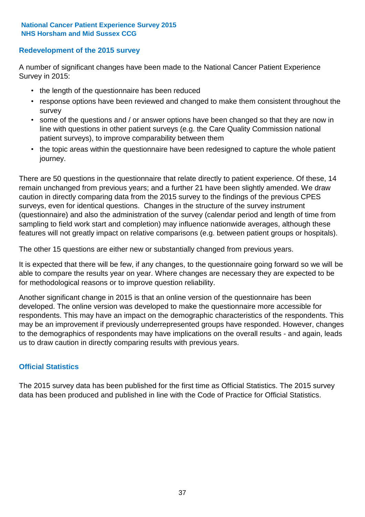### **Redevelopment of the 2015 survey**

A number of significant changes have been made to the National Cancer Patient Experience Survey in 2015:

- the length of the questionnaire has been reduced
- response options have been reviewed and changed to make them consistent throughout the survey
- some of the questions and / or answer options have been changed so that they are now in line with questions in other patient surveys (e.g. the Care Quality Commission national patient surveys), to improve comparability between them
- the topic areas within the questionnaire have been redesigned to capture the whole patient journey.

There are 50 questions in the questionnaire that relate directly to patient experience. Of these, 14 remain unchanged from previous years; and a further 21 have been slightly amended. We draw caution in directly comparing data from the 2015 survey to the findings of the previous CPES surveys, even for identical questions. Changes in the structure of the survey instrument (questionnaire) and also the administration of the survey (calendar period and length of time from sampling to field work start and completion) may influence nationwide averages, although these features will not greatly impact on relative comparisons (e.g. between patient groups or hospitals).

The other 15 questions are either new or substantially changed from previous years.

It is expected that there will be few, if any changes, to the questionnaire going forward so we will be able to compare the results year on year. Where changes are necessary they are expected to be for methodological reasons or to improve question reliability.

Another significant change in 2015 is that an online version of the questionnaire has been developed. The online version was developed to make the questionnaire more accessible for respondents. This may have an impact on the demographic characteristics of the respondents. This may be an improvement if previously underrepresented groups have responded. However, changes to the demographics of respondents may have implications on the overall results - and again, leads us to draw caution in directly comparing results with previous years.

### **Official Statistics**

The 2015 survey data has been published for the first time as Official Statistics. The 2015 survey data has been produced and published in line with the Code of Practice for Official Statistics.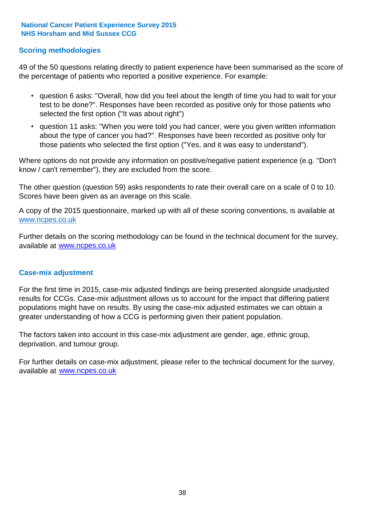### **Scoring methodologies**

49 of the 50 questions relating directly to patient experience have been summarised as the score of the percentage of patients who reported a positive experience. For example:

- question 6 asks: "Overall, how did you feel about the length of time you had to wait for your test to be done?". Responses have been recorded as positive only for those patients who selected the first option ("It was about right")
- question 11 asks: "When you were told you had cancer, were you given written information about the type of cancer you had?". Responses have been recorded as positive only for those patients who selected the first option ("Yes, and it was easy to understand").

Where options do not provide any information on positive/negative patient experience (e.g. "Don't know / can't remember"), they are excluded from the score.

The other question (question 59) asks respondents to rate their overall care on a scale of 0 to 10. Scores have been given as an average on this scale.

A copy of the 2015 questionnaire, marked up with all of these scoring conventions, is available at www.ncpes.co.uk

Further details on the scoring methodology can be found in the technical document for the survey, available at <u>www.ncpes.co.uk</u>

#### **Case-mix adjustment**

For the first time in 2015, case-mix adjusted findings are being presented alongside unadjusted results for CCGs. Case-mix adjustment allows us to account for the impact that differing patient populations might have on results. By using the case-mix adjusted estimates we can obtain a greater understanding of how a CCG is performing given their patient population.

The factors taken into account in this case-mix adjustment are gender, age, ethnic group, deprivation, and tumour group.

For further details on case-mix adjustment, please refer to the technical document for the survey, available at www.ncpes.co.uk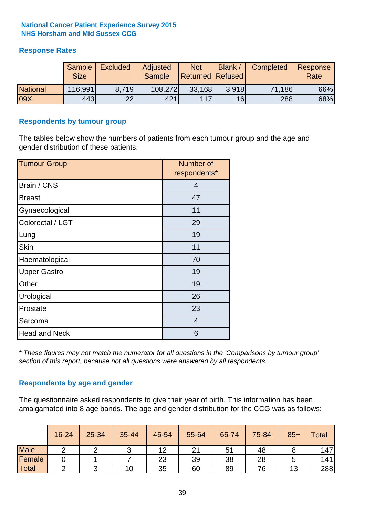### **Response Rates**

|                 | Sample<br><b>Size</b> | <b>Excluded</b> | Adjusted<br><b>Sample</b> | <b>Not</b><br><b>Returned Refused</b> | <b>Blank</b>    | Completed | Response<br>Rate |
|-----------------|-----------------------|-----------------|---------------------------|---------------------------------------|-----------------|-----------|------------------|
| <b>National</b> | 116,991               | 8.719           | 108,272                   | 33,168                                | 3.918           | 71,186    | 66%              |
| 09X             | 443                   | 22              | 421                       | 117                                   | 16 <sup>l</sup> | 288       | 68%              |

#### **Respondents by tumour group**

The tables below show the numbers of patients from each tumour group and the age and gender distribution of these patients.

| <b>Tumour Group</b>  | Number of<br>respondents* |  |  |
|----------------------|---------------------------|--|--|
| Brain / CNS          | 4                         |  |  |
| <b>Breast</b>        | 47                        |  |  |
| Gynaecological       | 11                        |  |  |
| Colorectal / LGT     | 29                        |  |  |
| Lung                 | 19                        |  |  |
| <b>Skin</b>          | 11                        |  |  |
| Haematological       | 70                        |  |  |
| <b>Upper Gastro</b>  | 19                        |  |  |
| Other                | 19                        |  |  |
| Urological           | 26                        |  |  |
| Prostate             | 23                        |  |  |
| Sarcoma              | $\overline{4}$            |  |  |
| <b>Head and Neck</b> | 6                         |  |  |

*\* These figures may not match the numerator for all questions in the 'Comparisons by tumour group' section of this report, because not all questions were answered by all respondents.*

### **Respondents by age and gender**

The questionnaire asked respondents to give their year of birth. This information has been amalgamated into 8 age bands. The age and gender distribution for the CCG was as follows:

|             | 16-24 | 25-34 | 35-44 | 45-54 | 55-64 | 65-74 | 75-84 | $85+$ | Total |
|-------------|-------|-------|-------|-------|-------|-------|-------|-------|-------|
| <b>Male</b> | ⌒     |       |       | 12    | 21    | 51    | 48    |       | 147   |
| Female      |       |       |       | 23    | 39    | 38    | 28    |       | 141   |
| Total       |       |       | 10    | 35    | 60    | 89    | 76    | 13    | 288   |